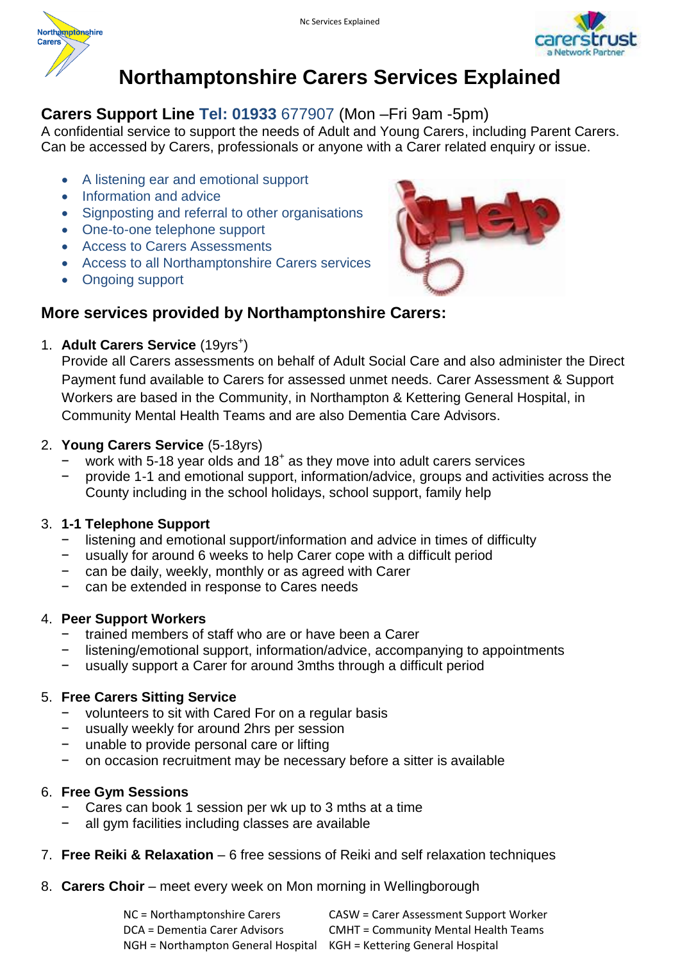



# **Northamptonshire Carers Services Explained**

## **Carers Support Line Tel: 01933** 677907 (Mon –Fri 9am -5pm)

A confidential service to support the needs of Adult and Young Carers, including Parent Carers. Can be accessed by Carers, professionals or anyone with a Carer related enquiry or issue.

- A listening ear and emotional support
- Information and advice
- Signposting and referral to other organisations
- One-to-one telephone support
- Access to Carers Assessments
- Access to all Northamptonshire Carers services
- Ongoing support



# **More services provided by Northamptonshire Carers:**

1. Adult Carers Service (19yrs<sup>+</sup>)

Provide all Carers assessments on behalf of Adult Social Care and also administer the Direct Payment fund available to Carers for assessed unmet needs. Carer Assessment & Support Workers are based in the Community, in Northampton & Kettering General Hospital, in Community Mental Health Teams and are also Dementia Care Advisors.

#### 2. **Young Carers Service** (5-18yrs)

- − work with 5-18 year olds and 18<sup>+</sup> as they move into adult carers services
- − provide 1-1 and emotional support, information/advice, groups and activities across the County including in the school holidays, school support, family help

## 3. **1-1 Telephone Support**

- listening and emotional support/information and advice in times of difficulty
- − usually for around 6 weeks to help Carer cope with a difficult period
- can be daily, weekly, monthly or as agreed with Carer
- − can be extended in response to Cares needs

#### 4. **Peer Support Workers**

- − trained members of staff who are or have been a Carer
- listening/emotional support, information/advice, accompanying to appointments
- usually support a Carer for around 3mths through a difficult period

#### 5. **Free Carers Sitting Service**

- volunteers to sit with Cared For on a regular basis
- usually weekly for around 2hrs per session
- − unable to provide personal care or lifting
- − on occasion recruitment may be necessary before a sitter is available

#### 6. **Free Gym Sessions**

- Cares can book 1 session per wk up to 3 mths at a time
- all gym facilities including classes are available
- 7. **Free Reiki & Relaxation** 6 free sessions of Reiki and self relaxation techniques
- 8. **Carers Choir** meet every week on Mon morning in Wellingborough

| NC = Northamptonshire Carers                                        | <b>CASW = Carer Assessment Support Worker</b> |
|---------------------------------------------------------------------|-----------------------------------------------|
| DCA = Dementia Carer Advisors                                       | <b>CMHT = Community Mental Health Teams</b>   |
| NGH = Northampton General Hospital KGH = Kettering General Hospital |                                               |